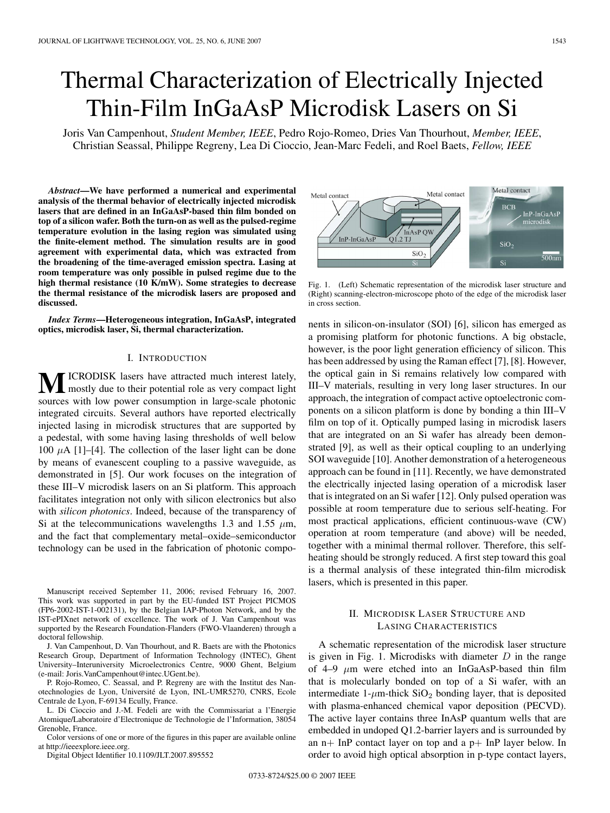# Thermal Characterization of Electrically Injected Thin-Film InGaAsP Microdisk Lasers on Si

Joris Van Campenhout, *Student Member, IEEE*, Pedro Rojo-Romeo, Dries Van Thourhout, *Member, IEEE*, Christian Seassal, Philippe Regreny, Lea Di Cioccio, Jean-Marc Fedeli, and Roel Baets, *Fellow, IEEE*

*Abstract***—We have performed a numerical and experimental analysis of the thermal behavior of electrically injected microdisk lasers that are defined in an InGaAsP-based thin film bonded on top of a silicon wafer. Both the turn-on as well as the pulsed-regime temperature evolution in the lasing region was simulated using the finite-element method. The simulation results are in good agreement with experimental data, which was extracted from the broadening of the time-averaged emission spectra. Lasing at room temperature was only possible in pulsed regime due to the high thermal resistance (10 K/mW). Some strategies to decrease the thermal resistance of the microdisk lasers are proposed and discussed.**

*Index Terms***—Heterogeneous integration, InGaAsP, integrated optics, microdisk laser, Si, thermal characterization.**

# I. INTRODUCTION

**M**ICRODISK lasers have attracted much interest lately, mostly due to their potential role as very compact light sources with low power consumption in large-scale photonic integrated circuits. Several authors have reported electrically injected lasing in microdisk structures that are supported by a pedestal, with some having lasing thresholds of well below 100  $\mu$ A [1]–[4]. The collection of the laser light can be done by means of evanescent coupling to a passive waveguide, as demonstrated in [5]. Our work focuses on the integration of these III–V microdisk lasers on an Si platform. This approach facilitates integration not only with silicon electronics but also with *silicon photonics*. Indeed, because of the transparency of Si at the telecommunications wavelengths 1.3 and 1.55  $\mu$ m, and the fact that complementary metal–oxide–semiconductor technology can be used in the fabrication of photonic compo-

Manuscript received September 11, 2006; revised February 16, 2007. This work was supported in part by the EU-funded IST Project PICMOS (FP6-2002-IST-1-002131), by the Belgian IAP-Photon Network, and by the IST-ePIXnet network of excellence. The work of J. Van Campenhout was supported by the Research Foundation-Flanders (FWO-Vlaanderen) through a doctoral fellowship.

J. Van Campenhout, D. Van Thourhout, and R. Baets are with the Photonics Research Group, Department of Information Technology (INTEC), Ghent University–Interuniversity Microelectronics Centre, 9000 Ghent, Belgium (e-mail: Joris.VanCampenhout@intec.UGent.be).

P. Rojo-Romeo, C. Seassal, and P. Regreny are with the Institut des Nanotechnologies de Lyon, Université de Lyon, INL-UMR5270, CNRS, Ecole Centrale de Lyon, F-69134 Ecully, France.

L. Di Cioccio and J.-M. Fedeli are with the Commissariat a l'Energie Atomique/Laboratoire d'Electronique de Technologie de l'Information, 38054 Grenoble, France.

Color versions of one or more of the figures in this paper are available online at http://ieeexplore.ieee.org.

Digital Object Identifier 10.1109/JLT.2007.895552



Fig. 1. (Left) Schematic representation of the microdisk laser structure and (Right) scanning-electron-microscope photo of the edge of the microdisk laser in cross section.

nents in silicon-on-insulator (SOI) [6], silicon has emerged as a promising platform for photonic functions. A big obstacle, however, is the poor light generation efficiency of silicon. This has been addressed by using the Raman effect [7], [8]. However, the optical gain in Si remains relatively low compared with III–V materials, resulting in very long laser structures. In our approach, the integration of compact active optoelectronic components on a silicon platform is done by bonding a thin III–V film on top of it. Optically pumped lasing in microdisk lasers that are integrated on an Si wafer has already been demonstrated [9], as well as their optical coupling to an underlying SOI waveguide [10]. Another demonstration of a heterogeneous approach can be found in [11]. Recently, we have demonstrated the electrically injected lasing operation of a microdisk laser that is integrated on an Si wafer [12]. Only pulsed operation was possible at room temperature due to serious self-heating. For most practical applications, efficient continuous-wave (CW) operation at room temperature (and above) will be needed, together with a minimal thermal rollover. Therefore, this selfheating should be strongly reduced. A first step toward this goal is a thermal analysis of these integrated thin-film microdisk lasers, which is presented in this paper.

# II. MICRODISK LASER STRUCTURE AND LASING CHARACTERISTICS

A schematic representation of the microdisk laser structure is given in Fig. 1. Microdisks with diameter  $D$  in the range of 4–9  $\mu$ m were etched into an InGaAsP-based thin film that is molecularly bonded on top of a Si wafer, with an intermediate  $1-\mu$ m-thick SiO<sub>2</sub> bonding layer, that is deposited with plasma-enhanced chemical vapor deposition (PECVD). The active layer contains three InAsP quantum wells that are embedded in undoped Q1.2-barrier layers and is surrounded by an  $n+$  InP contact layer on top and a  $p+$  InP layer below. In order to avoid high optical absorption in p-type contact layers,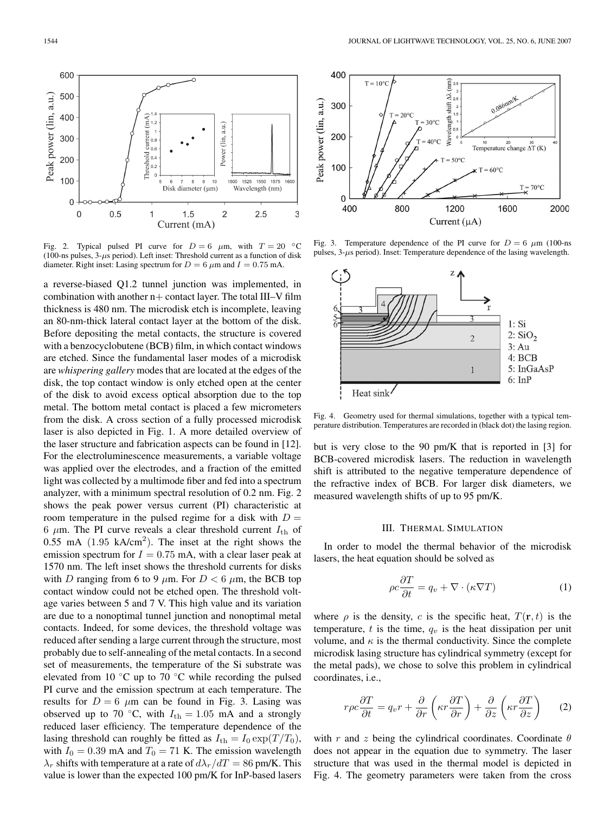

Fig. 2. Typical pulsed PI curve for  $D = 6$   $\mu$ m, with  $T = 20$  °C (100-ns pulses,  $3-\mu s$  period). Left inset: Threshold current as a function of disk diameter. Right inset: Lasing spectrum for  $D = 6 \mu$ m and  $I = 0.75 \text{ mA}$ .

a reverse-biased Q1.2 tunnel junction was implemented, in combination with another  $n+$  contact layer. The total III–V film thickness is 480 nm. The microdisk etch is incomplete, leaving an 80-nm-thick lateral contact layer at the bottom of the disk. Before depositing the metal contacts, the structure is covered with a benzocyclobutene (BCB) film, in which contact windows are etched. Since the fundamental laser modes of a microdisk are *whispering gallery* modes that are located at the edges of the disk, the top contact window is only etched open at the center of the disk to avoid excess optical absorption due to the top metal. The bottom metal contact is placed a few micrometers from the disk. A cross section of a fully processed microdisk laser is also depicted in Fig. 1. A more detailed overview of the laser structure and fabrication aspects can be found in [12]. For the electroluminescence measurements, a variable voltage was applied over the electrodes, and a fraction of the emitted light was collected by a multimode fiber and fed into a spectrum analyzer, with a minimum spectral resolution of 0.2 nm. Fig. 2 shows the peak power versus current (PI) characteristic at room temperature in the pulsed regime for a disk with  $D =$ 6  $\mu$ m. The PI curve reveals a clear threshold current  $I_{\text{th}}$  of 0.55 mA  $(1.95 \text{ kA/cm}^2)$ . The inset at the right shows the emission spectrum for  $I = 0.75$  mA, with a clear laser peak at 1570 nm. The left inset shows the threshold currents for disks with D ranging from 6 to 9  $\mu$ m. For  $D < 6 \mu$ m, the BCB top contact window could not be etched open. The threshold voltage varies between 5 and 7 V. This high value and its variation are due to a nonoptimal tunnel junction and nonoptimal metal contacts. Indeed, for some devices, the threshold voltage was reduced after sending a large current through the structure, most probably due to self-annealing of the metal contacts. In a second set of measurements, the temperature of the Si substrate was elevated from 10  $\degree$ C up to 70  $\degree$ C while recording the pulsed PI curve and the emission spectrum at each temperature. The results for  $D = 6 \mu m$  can be found in Fig. 3. Lasing was observed up to 70 °C, with  $I_{\text{th}} = 1.05$  mA and a strongly reduced laser efficiency. The temperature dependence of the lasing threshold can roughly be fitted as  $I_{\text{th}} = I_0 \exp(T/T_0)$ , with  $I_0 = 0.39$  mA and  $T_0 = 71$  K. The emission wavelength  $\lambda_r$  shifts with temperature at a rate of  $d\lambda_r/dT = 86$  pm/K. This value is lower than the expected 100 pm/K for InP-based lasers



Fig. 3. Temperature dependence of the PI curve for  $D = 6 \mu m$  (100-ns) pulses,  $3-\mu s$  period). Inset: Temperature dependence of the lasing wavelength.



Fig. 4. Geometry used for thermal simulations, together with a typical temperature distribution. Temperatures are recorded in (black dot) the lasing region.

but is very close to the 90 pm/K that is reported in [3] for BCB-covered microdisk lasers. The reduction in wavelength shift is attributed to the negative temperature dependence of the refractive index of BCB. For larger disk diameters, we measured wavelength shifts of up to 95 pm/K.

### III. THERMAL SIMULATION

In order to model the thermal behavior of the microdisk lasers, the heat equation should be solved as

$$
\rho c \frac{\partial T}{\partial t} = q_v + \nabla \cdot (\kappa \nabla T) \tag{1}
$$

where  $\rho$  is the density, c is the specific heat,  $T(\mathbf{r}, t)$  is the temperature,  $t$  is the time,  $q_v$  is the heat dissipation per unit volume, and  $\kappa$  is the thermal conductivity. Since the complete microdisk lasing structure has cylindrical symmetry (except for the metal pads), we chose to solve this problem in cylindrical coordinates, i.e.,

$$
r\rho c \frac{\partial T}{\partial t} = q_v r + \frac{\partial}{\partial r} \left( \kappa r \frac{\partial T}{\partial r} \right) + \frac{\partial}{\partial z} \left( \kappa r \frac{\partial T}{\partial z} \right) \tag{2}
$$

with r and z being the cylindrical coordinates. Coordinate  $\theta$ does not appear in the equation due to symmetry. The laser structure that was used in the thermal model is depicted in Fig. 4. The geometry parameters were taken from the cross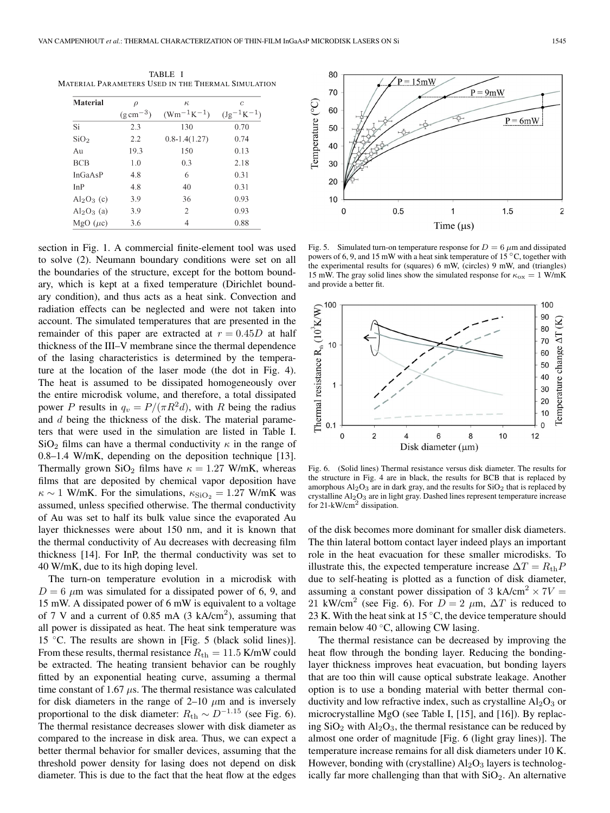TABLE I MATERIAL PARAMETERS USED IN THE THERMAL SIMULATION

| <b>Material</b>  | $\rho$<br>$(g \, \text{cm}^{-3})$ | $\kappa$<br>$(Wm^{-1}K^{-1})$ | c<br>$(Jg^{-1}K^{-1})$ |
|------------------|-----------------------------------|-------------------------------|------------------------|
|                  |                                   |                               |                        |
| SiO <sub>2</sub> | 2.2                               | $0.8 - 1.4(1.27)$             | 0.74                   |
| Au               | 19.3                              | 150                           | 0.13                   |
| <b>BCB</b>       | 1.0                               | 0.3                           | 2.18                   |
| In GaAsP         | 4.8                               | 6                             | 0.31                   |
| InP              | 4.8                               | 40                            | 0.31                   |
| $Al_2O_3$ (c)    | 3.9                               | 36                            | 0.93                   |
| $Al_2O_3$ (a)    | 3.9                               | $\overline{c}$                | 0.93                   |
| $MgO(\mu c)$     | 3.6                               | 4                             | 0.88                   |

section in Fig. 1. A commercial finite-element tool was used to solve (2). Neumann boundary conditions were set on all the boundaries of the structure, except for the bottom boundary, which is kept at a fixed temperature (Dirichlet boundary condition), and thus acts as a heat sink. Convection and radiation effects can be neglected and were not taken into account. The simulated temperatures that are presented in the remainder of this paper are extracted at  $r = 0.45D$  at half thickness of the III–V membrane since the thermal dependence of the lasing characteristics is determined by the temperature at the location of the laser mode (the dot in Fig. 4). The heat is assumed to be dissipated homogeneously over the entire microdisk volume, and therefore, a total dissipated power P results in  $q_v = P/(\pi R^2 d)$ , with R being the radius and d being the thickness of the disk. The material parameters that were used in the simulation are listed in Table I.  $\text{SiO}_2$  films can have a thermal conductivity  $\kappa$  in the range of 0.8–1.4 W/mK, depending on the deposition technique [13]. Thermally grown SiO<sub>2</sub> films have  $\kappa = 1.27$  W/mK, whereas films that are deposited by chemical vapor deposition have  $\kappa \sim 1$  W/mK. For the simulations,  $\kappa_{\text{SiO}_2} = 1.27$  W/mK was assumed, unless specified otherwise. The thermal conductivity of Au was set to half its bulk value since the evaporated Au layer thicknesses were about 150 nm, and it is known that the thermal conductivity of Au decreases with decreasing film thickness [14]. For InP, the thermal conductivity was set to 40 W/mK, due to its high doping level.

The turn-on temperature evolution in a microdisk with  $D = 6 \mu m$  was simulated for a dissipated power of 6, 9, and 15 mW. A dissipated power of 6 mW is equivalent to a voltage of 7 V and a current of 0.85 mA  $(3 \text{ kA/cm}^2)$ , assuming that all power is dissipated as heat. The heat sink temperature was 15 ◦C. The results are shown in [Fig. 5 (black solid lines)]. From these results, thermal resistance  $R_{\text{th}} = 11.5$  K/mW could be extracted. The heating transient behavior can be roughly fitted by an exponential heating curve, assuming a thermal time constant of 1.67  $\mu$ s. The thermal resistance was calculated for disk diameters in the range of 2–10  $\mu$ m and is inversely proportional to the disk diameter:  $R_{\text{th}} \sim D^{-1.15}$  (see Fig. 6). The thermal resistance decreases slower with disk diameter as compared to the increase in disk area. Thus, we can expect a better thermal behavior for smaller devices, assuming that the threshold power density for lasing does not depend on disk diameter. This is due to the fact that the heat flow at the edges



Fig. 5. Simulated turn-on temperature response for  $D = 6 \mu$ m and dissipated powers of 6, 9, and 15 mW with a heat sink temperature of 15  $\degree$ C, together with the experimental results for (squares) 6 mW, (circles) 9 mW, and (triangles) 15 mW. The gray solid lines show the simulated response for  $\kappa_{ox} = 1$  W/mK and provide a better fit.



Fig. 6. (Solid lines) Thermal resistance versus disk diameter. The results for the structure in Fig. 4 are in black, the results for BCB that is replaced by amorphous  $Al_2O_3$  are in dark gray, and the results for  $SiO_2$  that is replaced by crystalline Al<sub>2</sub>O<sub>3</sub> are in light gray. Dashed lines represent temperature increase for 21-kW/cm<sup>2</sup> dissipation.

of the disk becomes more dominant for smaller disk diameters. The thin lateral bottom contact layer indeed plays an important role in the heat evacuation for these smaller microdisks. To illustrate this, the expected temperature increase  $\Delta T = R_{\text{th}}P$ due to self-heating is plotted as a function of disk diameter, assuming a constant power dissipation of 3 kA/cm<sup>2</sup>  $\times$  7V = 21 kW/cm<sup>2</sup> (see Fig. 6). For  $D = 2 \mu m$ ,  $\Delta T$  is reduced to 23 K. With the heat sink at 15  $°C$ , the device temperature should remain below 40 ◦C, allowing CW lasing.

The thermal resistance can be decreased by improving the heat flow through the bonding layer. Reducing the bondinglayer thickness improves heat evacuation, but bonding layers that are too thin will cause optical substrate leakage. Another option is to use a bonding material with better thermal conductivity and low refractive index, such as crystalline  $Al_2O_3$  or microcrystalline MgO (see Table I, [15], and [16]). By replacing  $SiO<sub>2</sub>$  with  $Al<sub>2</sub>O<sub>3</sub>$ , the thermal resistance can be reduced by almost one order of magnitude [Fig. 6 (light gray lines)]. The temperature increase remains for all disk diameters under 10 K. However, bonding with (crystalline)  $Al_2O_3$  layers is technologically far more challenging than that with  $SiO<sub>2</sub>$ . An alternative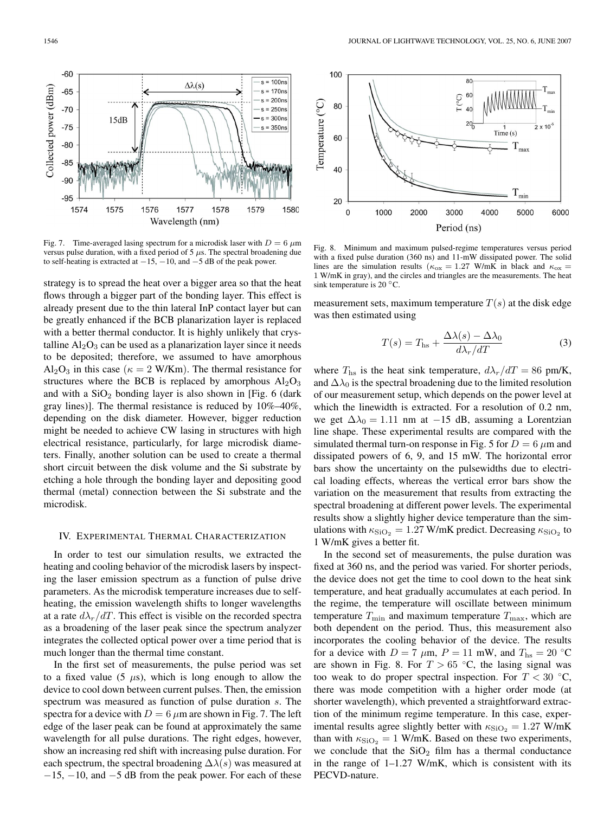

Fig. 7. Time-averaged lasing spectrum for a microdisk laser with  $D = 6 \mu m$ versus pulse duration, with a fixed period of 5  $\mu$ s. The spectral broadening due to self-heating is extracted at *−*15, *−*10, and *−*5 dB of the peak power.

strategy is to spread the heat over a bigger area so that the heat flows through a bigger part of the bonding layer. This effect is already present due to the thin lateral InP contact layer but can be greatly enhanced if the BCB planarization layer is replaced with a better thermal conductor. It is highly unlikely that crystalline  $Al_2O_3$  can be used as a planarization layer since it needs to be deposited; therefore, we assumed to have amorphous  $Al_2O_3$  in this case ( $\kappa = 2$  W/Km). The thermal resistance for structures where the BCB is replaced by amorphous  $Al_2O_3$ and with a  $SiO<sub>2</sub>$  bonding layer is also shown in [Fig. 6 (dark gray lines)]. The thermal resistance is reduced by 10%–40%, depending on the disk diameter. However, bigger reduction might be needed to achieve CW lasing in structures with high electrical resistance, particularly, for large microdisk diameters. Finally, another solution can be used to create a thermal short circuit between the disk volume and the Si substrate by etching a hole through the bonding layer and depositing good thermal (metal) connection between the Si substrate and the microdisk.

# IV. EXPERIMENTAL THERMAL CHARACTERIZATION

In order to test our simulation results, we extracted the heating and cooling behavior of the microdisk lasers by inspecting the laser emission spectrum as a function of pulse drive parameters. As the microdisk temperature increases due to selfheating, the emission wavelength shifts to longer wavelengths at a rate  $d\lambda_r/dT$ . This effect is visible on the recorded spectra as a broadening of the laser peak since the spectrum analyzer integrates the collected optical power over a time period that is much longer than the thermal time constant.

In the first set of measurements, the pulse period was set to a fixed value (5  $\mu$ s), which is long enough to allow the device to cool down between current pulses. Then, the emission spectrum was measured as function of pulse duration s. The spectra for a device with  $D = 6 \mu m$  are shown in Fig. 7. The left edge of the laser peak can be found at approximately the same wavelength for all pulse durations. The right edges, however, show an increasing red shift with increasing pulse duration. For each spectrum, the spectral broadening  $\Delta\lambda(s)$  was measured at  $-15$ ,  $-10$ , and  $-5$  dB from the peak power. For each of these



Fig. 8. Minimum and maximum pulsed-regime temperatures versus period with a fixed pulse duration (360 ns) and 11-mW dissipated power. The solid lines are the simulation results ( $\kappa_{\text{ox}} = 1.27$  W/mK in black and  $\kappa_{\text{ox}} =$ 1 W/mK in gray), and the circles and triangles are the measurements. The heat sink temperature is 20 $°C$ .

measurement sets, maximum temperature  $T(s)$  at the disk edge was then estimated using

$$
T(s) = T_{\text{hs}} + \frac{\Delta\lambda(s) - \Delta\lambda_0}{d\lambda_r/dT}
$$
 (3)

where  $T_{\text{hs}}$  is the heat sink temperature,  $d\lambda_r/dT = 86$  pm/K, and  $\Delta\lambda_0$  is the spectral broadening due to the limited resolution of our measurement setup, which depends on the power level at which the linewidth is extracted. For a resolution of 0.2 nm, we get  $\Delta\lambda_0 = 1.11$  nm at −15 dB, assuming a Lorentzian line shape. These experimental results are compared with the simulated thermal turn-on response in Fig. 5 for  $D = 6 \mu m$  and dissipated powers of 6, 9, and 15 mW. The horizontal error bars show the uncertainty on the pulsewidths due to electrical loading effects, whereas the vertical error bars show the variation on the measurement that results from extracting the spectral broadening at different power levels. The experimental results show a slightly higher device temperature than the simulations with  $\kappa_{\text{SiO}_2} = 1.27$  W/mK predict. Decreasing  $\kappa_{\text{SiO}_2}$  to 1 W/mK gives a better fit.

In the second set of measurements, the pulse duration was fixed at 360 ns, and the period was varied. For shorter periods, the device does not get the time to cool down to the heat sink temperature, and heat gradually accumulates at each period. In the regime, the temperature will oscillate between minimum temperature  $T_{\text{min}}$  and maximum temperature  $T_{\text{max}}$ , which are both dependent on the period. Thus, this measurement also incorporates the cooling behavior of the device. The results for a device with  $D = 7 \mu \text{m}$ ,  $P = 11 \text{ mW}$ , and  $T_{\text{hs}} = 20 \text{ }^{\circ}\text{C}$ are shown in Fig. 8. For  $T > 65$  °C, the lasing signal was too weak to do proper spectral inspection. For  $T < 30$  °C, there was mode competition with a higher order mode (at shorter wavelength), which prevented a straightforward extraction of the minimum regime temperature. In this case, experimental results agree slightly better with  $\kappa_{\text{SiO}_2} = 1.27 \text{ W/mK}$ than with  $\kappa_{\text{SiO}_2} = 1$  W/mK. Based on these two experiments, we conclude that the  $SiO<sub>2</sub>$  film has a thermal conductance in the range of  $1-1.27$  W/mK, which is consistent with its PECVD-nature.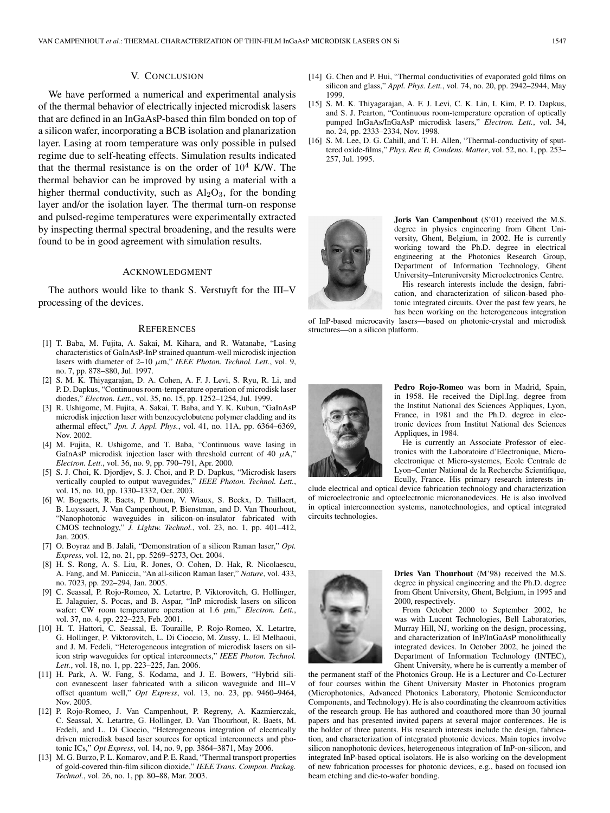## V. CONCLUSION

We have performed a numerical and experimental analysis of the thermal behavior of electrically injected microdisk lasers that are defined in an InGaAsP-based thin film bonded on top of a silicon wafer, incorporating a BCB isolation and planarization layer. Lasing at room temperature was only possible in pulsed regime due to self-heating effects. Simulation results indicated that the thermal resistance is on the order of  $10^4$  K/W. The thermal behavior can be improved by using a material with a higher thermal conductivity, such as  $Al_2O_3$ , for the bonding layer and/or the isolation layer. The thermal turn-on response and pulsed-regime temperatures were experimentally extracted by inspecting thermal spectral broadening, and the results were found to be in good agreement with simulation results.

# ACKNOWLEDGMENT

The authors would like to thank S. Verstuyft for the III–V processing of the devices.

#### **REFERENCES**

- [1] T. Baba, M. Fujita, A. Sakai, M. Kihara, and R. Watanabe, "Lasing characteristics of GaInAsP-InP strained quantum-well microdisk injection lasers with diameter of 2–10 μm," IEEE Photon. Technol. Lett., vol. 9, no. 7, pp. 878–880, Jul. 1997.
- [2] S. M. K. Thiyagarajan, D. A. Cohen, A. F. J. Levi, S. Ryu, R. Li, and P. D. Dapkus, "Continuous room-temperature operation of microdisk laser diodes," *Electron. Lett.*, vol. 35, no. 15, pp. 1252–1254, Jul. 1999.
- [3] R. Ushigome, M. Fujita, A. Sakai, T. Baba, and Y. K. Kubun, "GaInAsP microdisk injection laser with benzocyclobutene polymer cladding and its athermal effect," *Jpn. J. Appl. Phys.*, vol. 41, no. 11A, pp. 6364–6369, Nov. 2002.
- [4] M. Fujita, R. Ushigome, and T. Baba, "Continuous wave lasing in GaInAsP microdisk injection laser with threshold current of 40  $\mu$ A," *Electron. Lett.*, vol. 36, no. 9, pp. 790–791, Apr. 2000.
- [5] S. J. Choi, K. Djordjev, S. J. Choi, and P. D. Dapkus, "Microdisk lasers vertically coupled to output waveguides," *IEEE Photon. Technol. Lett.*, vol. 15, no. 10, pp. 1330–1332, Oct. 2003.
- [6] W. Bogaerts, R. Baets, P. Dumon, V. Wiaux, S. Beckx, D. Taillaert, B. Luyssaert, J. Van Campenhout, P. Bienstman, and D. Van Thourhout, "Nanophotonic waveguides in silicon-on-insulator fabricated with CMOS technology," *J. Lightw. Technol.*, vol. 23, no. 1, pp. 401–412, Jan. 2005.
- [7] O. Boyraz and B. Jalali, "Demonstration of a silicon Raman laser," *Opt. Express*, vol. 12, no. 21, pp. 5269–5273, Oct. 2004.
- [8] H. S. Rong, A. S. Liu, R. Jones, O. Cohen, D. Hak, R. Nicolaescu, A. Fang, and M. Paniccia, "An all-silicon Raman laser," *Nature*, vol. 433, no. 7023, pp. 292–294, Jan. 2005.
- [9] C. Seassal, P. Rojo-Romeo, X. Letartre, P. Viktorovitch, G. Hollinger, E. Jalaguier, S. Pocas, and B. Aspar, "InP microdisk lasers on silicon wafer: CW room temperature operation at 1.6  $\mu$ m," *Electron. Lett.*, vol. 37, no. 4, pp. 222–223, Feb. 2001.
- [10] H. T. Hattori, C. Seassal, E. Touraille, P. Rojo-Romeo, X. Letartre, G. Hollinger, P. Viktorovitch, L. Di Cioccio, M. Zussy, L. El Melhaoui, and J. M. Fedeli, "Heterogeneous integration of microdisk lasers on silicon strip waveguides for optical interconnects," *IEEE Photon. Technol. Lett.*, vol. 18, no. 1, pp. 223–225, Jan. 2006.
- [11] H. Park, A. W. Fang, S. Kodama, and J. E. Bowers, "Hybrid silicon evanescent laser fabricated with a silicon waveguide and III–V offset quantum well," *Opt Express*, vol. 13, no. 23, pp. 9460–9464, Nov. 2005.
- [12] P. Rojo-Romeo, J. Van Campenhout, P. Regreny, A. Kazmierczak, C. Seassal, X. Letartre, G. Hollinger, D. Van Thourhout, R. Baets, M. Fedeli, and L. Di Cioccio, "Heterogeneous integration of electrically driven microdisk based laser sources for optical interconnects and photonic ICs," *Opt Express*, vol. 14, no. 9, pp. 3864–3871, May 2006.
- [13] M. G. Burzo, P. L. Komarov, and P. E. Raad, "Thermal transport properties of gold-covered thin-film silicon dioxide," *IEEE Trans. Compon. Packag. Technol.*, vol. 26, no. 1, pp. 80–88, Mar. 2003.
- [14] G. Chen and P. Hui, "Thermal conductivities of evaporated gold films on silicon and glass," *Appl. Phys. Lett.*, vol. 74, no. 20, pp. 2942–2944, May 1999.
- [15] S. M. K. Thiyagarajan, A. F. J. Levi, C. K. Lin, I. Kim, P. D. Dapkus, and S. J. Pearton, "Continuous room-temperature operation of optically pumped InGaAs/InGaAsP microdisk lasers," *Electron. Lett.*, vol. 34, no. 24, pp. 2333–2334, Nov. 1998.
- [16] S. M. Lee, D. G. Cahill, and T. H. Allen, "Thermal-conductivity of sputtered oxide-films," *Phys. Rev. B, Condens. Matter*, vol. 52, no. 1, pp. 253– 257, Jul. 1995.



**Joris Van Campenhout** (S'01) received the M.S. degree in physics engineering from Ghent University, Ghent, Belgium, in 2002. He is currently working toward the Ph.D. degree in electrical engineering at the Photonics Research Group, Department of Information Technology, Ghent University–Interuniversity Microelectronics Centre.

His research interests include the design, fabrication, and characterization of silicon-based photonic integrated circuits. Over the past few years, he has been working on the heterogeneous integration

of InP-based microcavity lasers—based on photonic-crystal and microdisk structures—on a silicon platform.



**Pedro Rojo-Romeo** was born in Madrid, Spain, in 1958. He received the Dipl.Ing. degree from the Institut National des Sciences Appliques, Lyon, France, in 1981 and the Ph.D. degree in electronic devices from Institut National des Sciences Appliques, in 1984.

He is currently an Associate Professor of electronics with the Laboratoire d'Electronique, Microelectronique et Micro-systemes, Ecole Centrale de Lyon–Center National de la Recherche Scientifique, Ecully, France. His primary research interests in-

clude electrical and optical device fabrication technology and characterization of microelectronic and optoelectronic micronanodevices. He is also involved in optical interconnection systems, nanotechnologies, and optical integrated circuits technologies.



**Dries Van Thourhout** (M'98) received the M.S. degree in physical engineering and the Ph.D. degree from Ghent University, Ghent, Belgium, in 1995 and 2000, respectively.

From October 2000 to September 2002, he was with Lucent Technologies, Bell Laboratories, Murray Hill, NJ, working on the design, processing, and characterization of InP/InGaAsP monolithically integrated devices. In October 2002, he joined the Department of Information Technology (INTEC), Ghent University, where he is currently a member of

the permanent staff of the Photonics Group. He is a Lecturer and Co-Lecturer of four courses within the Ghent University Master in Photonics program (Microphotonics, Advanced Photonics Laboratory, Photonic Semiconductor Components, and Technology). He is also coordinating the cleanroom activities of the research group. He has authored and coauthored more than 30 journal papers and has presented invited papers at several major conferences. He is the holder of three patents. His research interests include the design, fabrication, and characterization of integrated photonic devices. Main topics involve silicon nanophotonic devices, heterogeneous integration of InP-on-silicon, and integrated InP-based optical isolators. He is also working on the development of new fabrication processes for photonic devices, e.g., based on focused ion beam etching and die-to-wafer bonding.